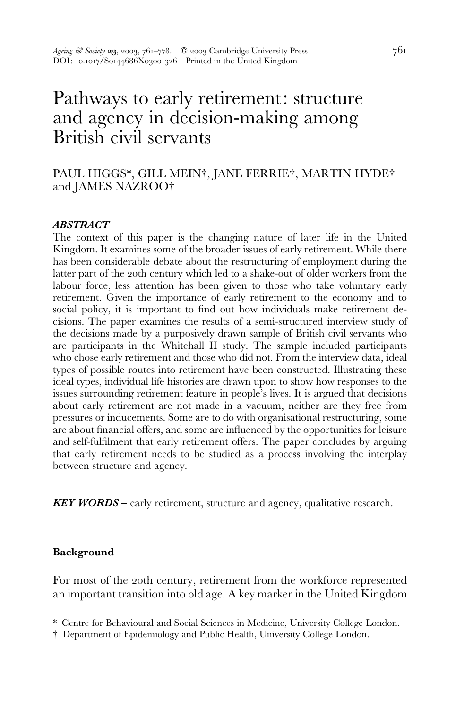# Pathways to early retirement: structure and agency in decision-making among British civil servants

# PAUL HIGGS\*, GILL MEIN†, JANE FERRIE†, MARTIN HYDE† and JAMES NAZROO<sup>+</sup>

### ABSTRACT

The context of this paper is the changing nature of later life in the United Kingdom. It examines some of the broader issues of early retirement. While there has been considerable debate about the restructuring of employment during the latter part of the 20th century which led to a shake-out of older workers from the labour force, less attention has been given to those who take voluntary early retirement. Given the importance of early retirement to the economy and to social policy, it is important to find out how individuals make retirement decisions. The paper examines the results of a semi-structured interview study of the decisions made by a purposively drawn sample of British civil servants who are participants in the Whitehall II study. The sample included participants who chose early retirement and those who did not. From the interview data, ideal types of possible routes into retirement have been constructed. Illustrating these ideal types, individual life histories are drawn upon to show how responses to the issues surrounding retirement feature in people's lives. It is argued that decisions about early retirement are not made in a vacuum, neither are they free from pressures or inducements. Some are to do with organisational restructuring, some are about financial offers, and some are influenced by the opportunities for leisure and self-fulfilment that early retirement offers. The paper concludes by arguing that early retirement needs to be studied as a process involving the interplay between structure and agency.

**KEY WORDS** – early retirement, structure and agency, qualitative research.

#### Background

For most of the 20th century, retirement from the workforce represented an important transition into old age. A key marker in the United Kingdom

<sup>\*</sup> Centre for Behavioural and Social Sciences in Medicine, University College London.

<sup>#</sup> Department of Epidemiology and Public Health, University College London.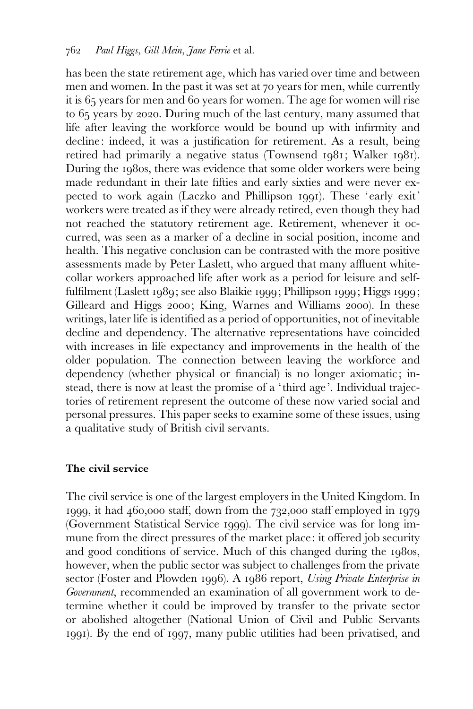has been the state retirement age, which has varied over time and between men and women. In the past it was set at 70 years for men, while currently it is 65 years for men and 60 years for women. The age for women will rise to 65 years by 2020. During much of the last century, many assumed that life after leaving the workforce would be bound up with infirmity and decline: indeed, it was a justification for retirement. As a result, being retired had primarily a negative status (Townsend 1981; Walker 1981). During the 1980s, there was evidence that some older workers were being made redundant in their late fifties and early sixties and were never expected to work again (Laczko and Phillipson 1991). These 'early exit' workers were treated as if they were already retired, even though they had not reached the statutory retirement age. Retirement, whenever it occurred, was seen as a marker of a decline in social position, income and health. This negative conclusion can be contrasted with the more positive assessments made by Peter Laslett, who argued that many affluent whitecollar workers approached life after work as a period for leisure and selffulfilment (Laslett 1989; see also Blaikie 1999; Phillipson 1999; Higgs 1999; Gilleard and Higgs 2000; King, Warnes and Williams 2000). In these writings, later life is identified as a period of opportunities, not of inevitable decline and dependency. The alternative representations have coincided with increases in life expectancy and improvements in the health of the older population. The connection between leaving the workforce and dependency (whether physical or financial) is no longer axiomatic; instead, there is now at least the promise of a 'third age'. Individual trajectories of retirement represent the outcome of these now varied social and personal pressures. This paper seeks to examine some of these issues, using a qualitative study of British civil servants.

### The civil service

The civil service is one of the largest employers in the United Kingdom. In 1999, it had 460,000 staff, down from the 732,000 staff employed in 1979 (Government Statistical Service 1999). The civil service was for long immune from the direct pressures of the market place: it offered job security and good conditions of service. Much of this changed during the 1980s, however, when the public sector was subject to challenges from the private sector (Foster and Plowden 1996). A 1986 report, Using Private Enterprise in Government, recommended an examination of all government work to determine whether it could be improved by transfer to the private sector or abolished altogether (National Union of Civil and Public Servants 1991). By the end of 1997, many public utilities had been privatised, and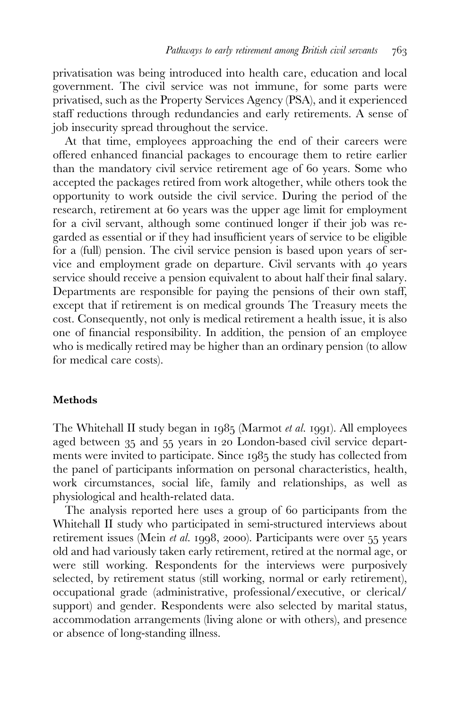privatisation was being introduced into health care, education and local government. The civil service was not immune, for some parts were privatised, such as the Property Services Agency (PSA), and it experienced staff reductions through redundancies and early retirements. A sense of job insecurity spread throughout the service.

At that time, employees approaching the end of their careers were offered enhanced financial packages to encourage them to retire earlier than the mandatory civil service retirement age of 60 years. Some who accepted the packages retired from work altogether, while others took the opportunity to work outside the civil service. During the period of the research, retirement at 60 years was the upper age limit for employment for a civil servant, although some continued longer if their job was regarded as essential or if they had insufficient years of service to be eligible for a (full) pension. The civil service pension is based upon years of service and employment grade on departure. Civil servants with 40 years service should receive a pension equivalent to about half their final salary. Departments are responsible for paying the pensions of their own staff, except that if retirement is on medical grounds The Treasury meets the cost. Consequently, not only is medical retirement a health issue, it is also one of financial responsibility. In addition, the pension of an employee who is medically retired may be higher than an ordinary pension (to allow for medical care costs).

### Methods

The Whitehall II study began in 1985 (Marmot et al. 1991). All employees aged between 35 and 55 years in 20 London-based civil service departments were invited to participate. Since 1985 the study has collected from the panel of participants information on personal characteristics, health, work circumstances, social life, family and relationships, as well as physiological and health-related data.

The analysis reported here uses a group of 60 participants from the Whitehall II study who participated in semi-structured interviews about retirement issues (Mein et al. 1998, 2000). Participants were over 55 years old and had variously taken early retirement, retired at the normal age, or were still working. Respondents for the interviews were purposively selected, by retirement status (still working, normal or early retirement), occupational grade (administrative, professional/executive, or clerical/ support) and gender. Respondents were also selected by marital status, accommodation arrangements (living alone or with others), and presence or absence of long-standing illness.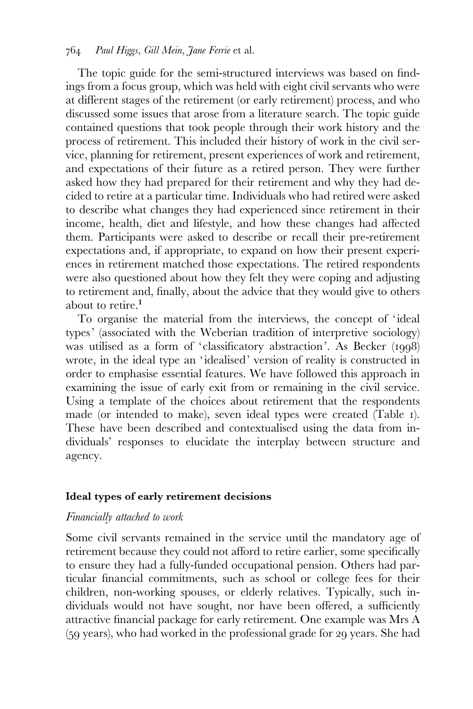### 764 Paul Higgs, Gill Mein, Jane Ferrie et al.

The topic guide for the semi-structured interviews was based on findings from a focus group, which was held with eight civil servants who were at different stages of the retirement (or early retirement) process, and who discussed some issues that arose from a literature search. The topic guide contained questions that took people through their work history and the process of retirement. This included their history of work in the civil service, planning for retirement, present experiences of work and retirement, and expectations of their future as a retired person. They were further asked how they had prepared for their retirement and why they had decided to retire at a particular time. Individuals who had retired were asked to describe what changes they had experienced since retirement in their income, health, diet and lifestyle, and how these changes had affected them. Participants were asked to describe or recall their pre-retirement expectations and, if appropriate, to expand on how their present experiences in retirement matched those expectations. The retired respondents were also questioned about how they felt they were coping and adjusting to retirement and, finally, about the advice that they would give to others about to retire. $<sup>1</sup>$ </sup>

To organise the material from the interviews, the concept of 'ideal types' (associated with the Weberian tradition of interpretive sociology) was utilised as a form of 'classificatory abstraction'. As Becker (1998) wrote, in the ideal type an 'idealised' version of reality is constructed in order to emphasise essential features. We have followed this approach in examining the issue of early exit from or remaining in the civil service. Using a template of the choices about retirement that the respondents made (or intended to make), seven ideal types were created (Table 1). These have been described and contextualised using the data from individuals' responses to elucidate the interplay between structure and agency.

### Ideal types of early retirement decisions

### Financially attached to work

Some civil servants remained in the service until the mandatory age of retirement because they could not afford to retire earlier, some specifically to ensure they had a fully-funded occupational pension. Others had particular financial commitments, such as school or college fees for their children, non-working spouses, or elderly relatives. Typically, such individuals would not have sought, nor have been offered, a sufficiently attractive financial package for early retirement. One example was Mrs A (59 years), who had worked in the professional grade for 29 years. She had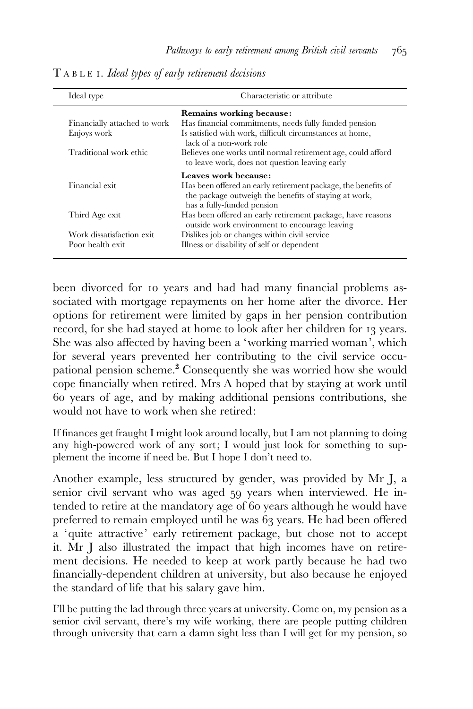| Ideal type                   | Characteristic or attribute                                                                                                                          |
|------------------------------|------------------------------------------------------------------------------------------------------------------------------------------------------|
|                              | Remains working because:                                                                                                                             |
| Financially attached to work | Has financial commitments, needs fully funded pension                                                                                                |
| Enjoys work                  | Is satisfied with work, difficult circumstances at home,<br>lack of a non-work role                                                                  |
| Traditional work ethic       | Believes one works until normal retirement age, could afford<br>to leave work, does not question leaving early                                       |
|                              | Leaves work because:                                                                                                                                 |
| Financial exit               | Has been offered an early retirement package, the benefits of<br>the package outweigh the benefits of staying at work,<br>has a fully-funded pension |
| Third Age exit               | Has been offered an early retirement package, have reasons<br>outside work environment to encourage leaving                                          |
| Work dissatisfaction exit    | Dislikes job or changes within civil service                                                                                                         |
| Poor health exit             | Illness or disability of self or dependent                                                                                                           |

T ABLE 1. Ideal types of early retirement decisions

been divorced for 10 years and had had many financial problems associated with mortgage repayments on her home after the divorce. Her options for retirement were limited by gaps in her pension contribution record, for she had stayed at home to look after her children for 13 years. She was also affected by having been a 'working married woman', which for several years prevented her contributing to the civil service occupational pension scheme.<sup>2</sup> Consequently she was worried how she would cope financially when retired. Mrs A hoped that by staying at work until 60 years of age, and by making additional pensions contributions, she would not have to work when she retired:

If finances get fraught I might look around locally, but I am not planning to doing any high-powered work of any sort; I would just look for something to supplement the income if need be. But I hope I don't need to.

Another example, less structured by gender, was provided by Mr J, a senior civil servant who was aged 59 years when interviewed. He intended to retire at the mandatory age of 60 years although he would have preferred to remain employed until he was 63 years. He had been offered a 'quite attractive' early retirement package, but chose not to accept it. Mr J also illustrated the impact that high incomes have on retirement decisions. He needed to keep at work partly because he had two financially-dependent children at university, but also because he enjoyed the standard of life that his salary gave him.

I'll be putting the lad through three years at university. Come on, my pension as a senior civil servant, there's my wife working, there are people putting children through university that earn a damn sight less than I will get for my pension, so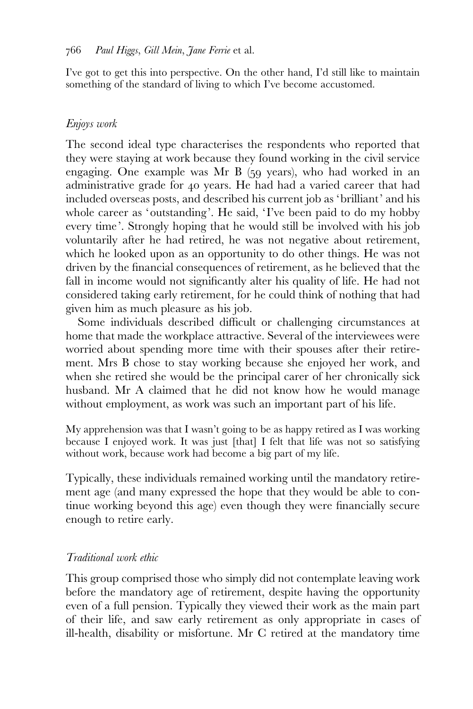I've got to get this into perspective. On the other hand, I'd still like to maintain something of the standard of living to which I've become accustomed.

# Enjoys work

The second ideal type characterises the respondents who reported that they were staying at work because they found working in the civil service engaging. One example was Mr B (59 years), who had worked in an administrative grade for 40 years. He had had a varied career that had included overseas posts, and described his current job as 'brilliant' and his whole career as 'outstanding'. He said, 'I've been paid to do my hobby every time'. Strongly hoping that he would still be involved with his job voluntarily after he had retired, he was not negative about retirement, which he looked upon as an opportunity to do other things. He was not driven by the financial consequences of retirement, as he believed that the fall in income would not significantly alter his quality of life. He had not considered taking early retirement, for he could think of nothing that had given him as much pleasure as his job.

Some individuals described difficult or challenging circumstances at home that made the workplace attractive. Several of the interviewees were worried about spending more time with their spouses after their retirement. Mrs B chose to stay working because she enjoyed her work, and when she retired she would be the principal carer of her chronically sick husband. Mr A claimed that he did not know how he would manage without employment, as work was such an important part of his life.

My apprehension was that I wasn't going to be as happy retired as I was working because I enjoyed work. It was just [that] I felt that life was not so satisfying without work, because work had become a big part of my life.

Typically, these individuals remained working until the mandatory retirement age (and many expressed the hope that they would be able to continue working beyond this age) even though they were financially secure enough to retire early.

# Traditional work ethic

This group comprised those who simply did not contemplate leaving work before the mandatory age of retirement, despite having the opportunity even of a full pension. Typically they viewed their work as the main part of their life, and saw early retirement as only appropriate in cases of ill-health, disability or misfortune. Mr C retired at the mandatory time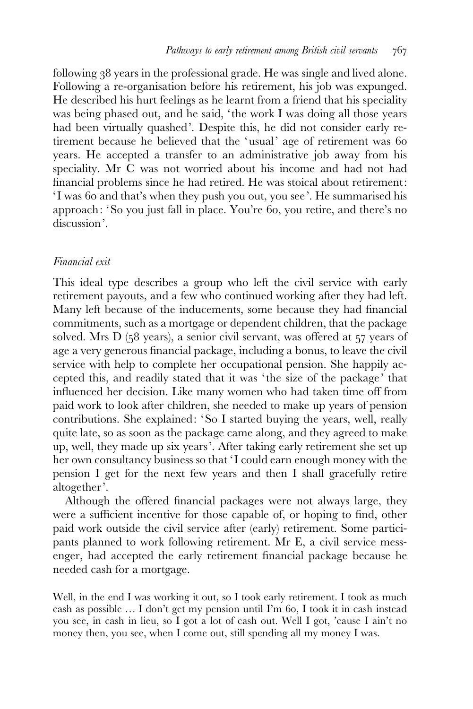following 38 years in the professional grade. He was single and lived alone. Following a re-organisation before his retirement, his job was expunged. He described his hurt feelings as he learnt from a friend that his speciality was being phased out, and he said, 'the work I was doing all those years had been virtually quashed'. Despite this, he did not consider early retirement because he believed that the 'usual' age of retirement was 60 years. He accepted a transfer to an administrative job away from his speciality. Mr C was not worried about his income and had not had financial problems since he had retired. He was stoical about retirement: ' I was 60 and that's when they push you out, you see'. He summarised his approach: 'So you just fall in place. You're 60, you retire, and there's no discussion'.

### Financial exit

This ideal type describes a group who left the civil service with early retirement payouts, and a few who continued working after they had left. Many left because of the inducements, some because they had financial commitments, such as a mortgage or dependent children, that the package solved. Mrs D (58 years), a senior civil servant, was offered at 57 years of age a very generous financial package, including a bonus, to leave the civil service with help to complete her occupational pension. She happily accepted this, and readily stated that it was 'the size of the package' that influenced her decision. Like many women who had taken time off from paid work to look after children, she needed to make up years of pension contributions. She explained: 'So I started buying the years, well, really quite late, so as soon as the package came along, and they agreed to make up, well, they made up six years'. After taking early retirement she set up her own consultancy business so that 'I could earn enough money with the pension I get for the next few years and then I shall gracefully retire altogether'.

Although the offered financial packages were not always large, they were a sufficient incentive for those capable of, or hoping to find, other paid work outside the civil service after (early) retirement. Some participants planned to work following retirement. Mr E, a civil service messenger, had accepted the early retirement financial package because he needed cash for a mortgage.

Well, in the end I was working it out, so I took early retirement. I took as much cash as possible … I don't get my pension until I'm 60, I took it in cash instead you see, in cash in lieu, so I got a lot of cash out. Well I got, 'cause I ain't no money then, you see, when I come out, still spending all my money I was.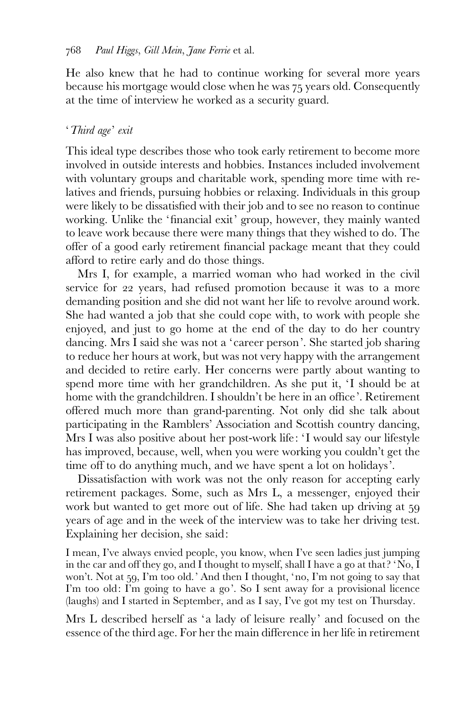He also knew that he had to continue working for several more years because his mortgage would close when he was 75 years old. Consequently at the time of interview he worked as a security guard.

# 'Third age' exit

This ideal type describes those who took early retirement to become more involved in outside interests and hobbies. Instances included involvement with voluntary groups and charitable work, spending more time with relatives and friends, pursuing hobbies or relaxing. Individuals in this group were likely to be dissatisfied with their job and to see no reason to continue working. Unlike the 'financial exit' group, however, they mainly wanted to leave work because there were many things that they wished to do. The offer of a good early retirement financial package meant that they could afford to retire early and do those things.

Mrs I, for example, a married woman who had worked in the civil service for 22 years, had refused promotion because it was to a more demanding position and she did not want her life to revolve around work. She had wanted a job that she could cope with, to work with people she enjoyed, and just to go home at the end of the day to do her country dancing. Mrs I said she was not a 'career person'. She started job sharing to reduce her hours at work, but was not very happy with the arrangement and decided to retire early. Her concerns were partly about wanting to spend more time with her grandchildren. As she put it, 'I should be at home with the grandchildren. I shouldn't be here in an office'. Retirement offered much more than grand-parenting. Not only did she talk about participating in the Ramblers' Association and Scottish country dancing, Mrs I was also positive about her post-work life: 'I would say our lifestyle has improved, because, well, when you were working you couldn't get the time off to do anything much, and we have spent a lot on holidays'.

Dissatisfaction with work was not the only reason for accepting early retirement packages. Some, such as Mrs L, a messenger, enjoyed their work but wanted to get more out of life. She had taken up driving at 59 years of age and in the week of the interview was to take her driving test. Explaining her decision, she said:

I mean, I've always envied people, you know, when I've seen ladies just jumping in the car and off they go, and I thought to myself, shall I have a go at that ? 'No, I won't. Not at 59, I'm too old.' And then I thought, 'no, I'm not going to say that I'm too old: I'm going to have a go'. So I sent away for a provisional licence (laughs) and I started in September, and as I say, I've got my test on Thursday.

Mrs L described herself as 'a lady of leisure really' and focused on the essence of the third age. For her the main difference in her life in retirement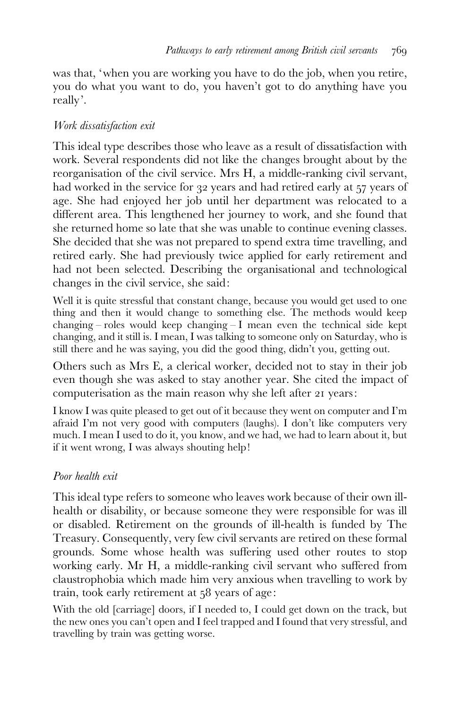was that, 'when you are working you have to do the job, when you retire, you do what you want to do, you haven't got to do anything have you really'.

# Work dissatisfaction exit

This ideal type describes those who leave as a result of dissatisfaction with work. Several respondents did not like the changes brought about by the reorganisation of the civil service. Mrs H, a middle-ranking civil servant, had worked in the service for 32 years and had retired early at 57 years of age. She had enjoyed her job until her department was relocated to a different area. This lengthened her journey to work, and she found that she returned home so late that she was unable to continue evening classes. She decided that she was not prepared to spend extra time travelling, and retired early. She had previously twice applied for early retirement and had not been selected. Describing the organisational and technological changes in the civil service, she said:

Well it is quite stressful that constant change, because you would get used to one thing and then it would change to something else. The methods would keep changing – roles would keep changing – I mean even the technical side kept changing, and it still is. I mean, I was talking to someone only on Saturday, who is still there and he was saying, you did the good thing, didn't you, getting out.

Others such as Mrs E, a clerical worker, decided not to stay in their job even though she was asked to stay another year. She cited the impact of computerisation as the main reason why she left after 21 years:

I know I was quite pleased to get out of it because they went on computer and I'm afraid I'm not very good with computers (laughs). I don't like computers very much. I mean I used to do it, you know, and we had, we had to learn about it, but if it went wrong, I was always shouting help!

# Poor health exit

This ideal type refers to someone who leaves work because of their own illhealth or disability, or because someone they were responsible for was ill or disabled. Retirement on the grounds of ill-health is funded by The Treasury. Consequently, very few civil servants are retired on these formal grounds. Some whose health was suffering used other routes to stop working early. Mr H, a middle-ranking civil servant who suffered from claustrophobia which made him very anxious when travelling to work by train, took early retirement at 58 years of age:

With the old [carriage] doors, if I needed to, I could get down on the track, but the new ones you can't open and I feel trapped and I found that very stressful, and travelling by train was getting worse.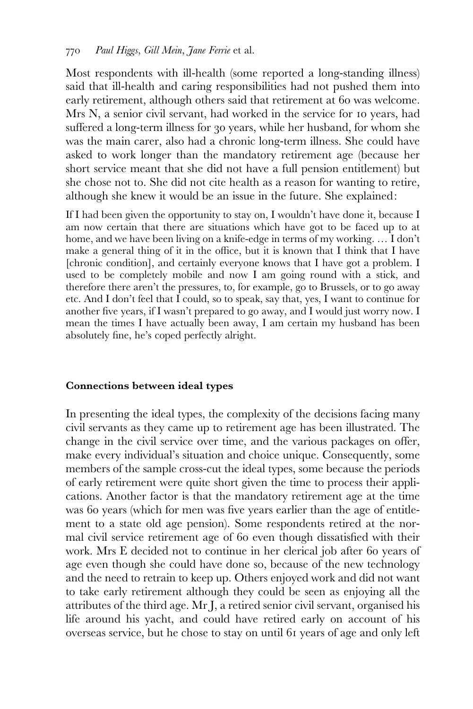Most respondents with ill-health (some reported a long-standing illness) said that ill-health and caring responsibilities had not pushed them into early retirement, although others said that retirement at 60 was welcome. Mrs N, a senior civil servant, had worked in the service for 10 years, had suffered a long-term illness for 30 years, while her husband, for whom she was the main carer, also had a chronic long-term illness. She could have asked to work longer than the mandatory retirement age (because her short service meant that she did not have a full pension entitlement) but she chose not to. She did not cite health as a reason for wanting to retire, although she knew it would be an issue in the future. She explained:

If I had been given the opportunity to stay on, I wouldn't have done it, because I am now certain that there are situations which have got to be faced up to at home, and we have been living on a knife-edge in terms of my working. … I don't make a general thing of it in the office, but it is known that I think that I have [chronic condition], and certainly everyone knows that I have got a problem. I used to be completely mobile and now I am going round with a stick, and therefore there aren't the pressures, to, for example, go to Brussels, or to go away etc. And I don't feel that I could, so to speak, say that, yes, I want to continue for another five years, if I wasn't prepared to go away, and I would just worry now. I mean the times I have actually been away, I am certain my husband has been absolutely fine, he's coped perfectly alright.

### Connections between ideal types

In presenting the ideal types, the complexity of the decisions facing many civil servants as they came up to retirement age has been illustrated. The change in the civil service over time, and the various packages on offer, make every individual's situation and choice unique. Consequently, some members of the sample cross-cut the ideal types, some because the periods of early retirement were quite short given the time to process their applications. Another factor is that the mandatory retirement age at the time was 60 years (which for men was five years earlier than the age of entitlement to a state old age pension). Some respondents retired at the normal civil service retirement age of 60 even though dissatisfied with their work. Mrs E decided not to continue in her clerical job after 60 years of age even though she could have done so, because of the new technology and the need to retrain to keep up. Others enjoyed work and did not want to take early retirement although they could be seen as enjoying all the attributes of the third age. Mr J, a retired senior civil servant, organised his life around his yacht, and could have retired early on account of his overseas service, but he chose to stay on until 61 years of age and only left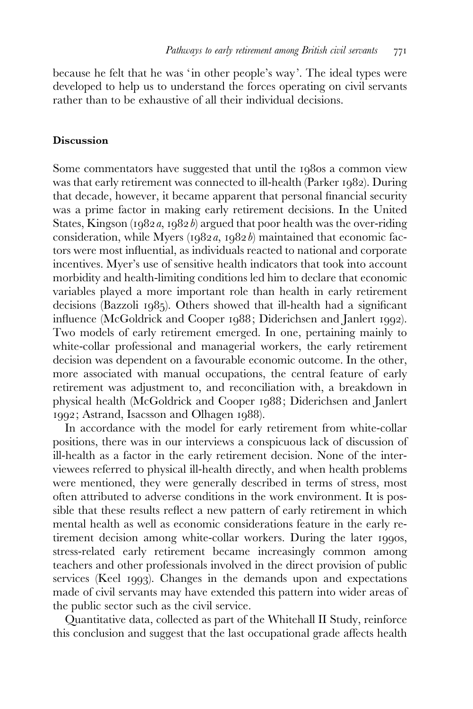because he felt that he was 'in other people's way'. The ideal types were developed to help us to understand the forces operating on civil servants rather than to be exhaustive of all their individual decisions.

### Discussion

Some commentators have suggested that until the 1980s a common view was that early retirement was connected to ill-health (Parker 1982). During that decade, however, it became apparent that personal financial security was a prime factor in making early retirement decisions. In the United States, Kingson (1982a, 1982b) argued that poor health was the over-riding consideration, while Myers  $(1982a, 1982b)$  maintained that economic factors were most influential, as individuals reacted to national and corporate incentives. Myer's use of sensitive health indicators that took into account morbidity and health-limiting conditions led him to declare that economic variables played a more important role than health in early retirement decisions (Bazzoli 1985). Others showed that ill-health had a significant influence (McGoldrick and Cooper 1988; Diderichsen and Janlert 1992). Two models of early retirement emerged. In one, pertaining mainly to white-collar professional and managerial workers, the early retirement decision was dependent on a favourable economic outcome. In the other, more associated with manual occupations, the central feature of early retirement was adjustment to, and reconciliation with, a breakdown in physical health (McGoldrick and Cooper 1988; Diderichsen and Janlert 1992; Astrand, Isacsson and Olhagen 1988).

In accordance with the model for early retirement from white-collar positions, there was in our interviews a conspicuous lack of discussion of ill-health as a factor in the early retirement decision. None of the interviewees referred to physical ill-health directly, and when health problems were mentioned, they were generally described in terms of stress, most often attributed to adverse conditions in the work environment. It is possible that these results reflect a new pattern of early retirement in which mental health as well as economic considerations feature in the early retirement decision among white-collar workers. During the later 1990s, stress-related early retirement became increasingly common among teachers and other professionals involved in the direct provision of public services (Keel 1993). Changes in the demands upon and expectations made of civil servants may have extended this pattern into wider areas of the public sector such as the civil service.

Quantitative data, collected as part of the Whitehall II Study, reinforce this conclusion and suggest that the last occupational grade affects health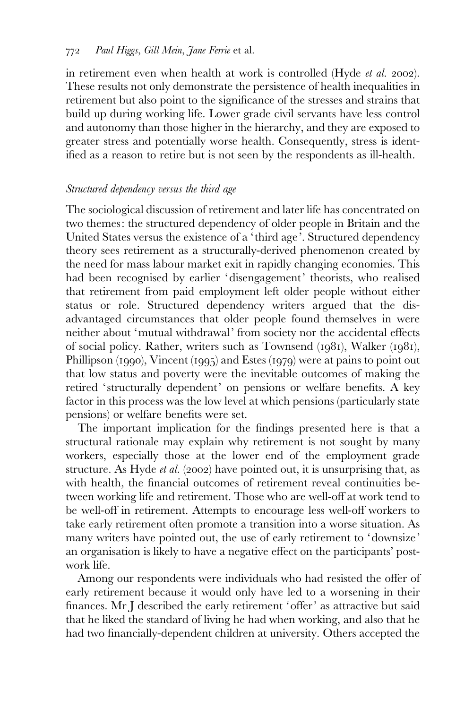in retirement even when health at work is controlled (Hyde et al. 2002). These results not only demonstrate the persistence of health inequalities in retirement but also point to the significance of the stresses and strains that build up during working life. Lower grade civil servants have less control and autonomy than those higher in the hierarchy, and they are exposed to greater stress and potentially worse health. Consequently, stress is identified as a reason to retire but is not seen by the respondents as ill-health.

# Structured dependency versus the third age

The sociological discussion of retirement and later life has concentrated on two themes: the structured dependency of older people in Britain and the United States versus the existence of a 'third age'. Structured dependency theory sees retirement as a structurally-derived phenomenon created by the need for mass labour market exit in rapidly changing economies. This had been recognised by earlier 'disengagement' theorists, who realised that retirement from paid employment left older people without either status or role. Structured dependency writers argued that the disadvantaged circumstances that older people found themselves in were neither about 'mutual withdrawal' from society nor the accidental effects of social policy. Rather, writers such as Townsend (1981), Walker (1981), Phillipson (1990), Vincent (1995) and Estes (1979) were at pains to point out that low status and poverty were the inevitable outcomes of making the retired 'structurally dependent' on pensions or welfare benefits. A key factor in this process was the low level at which pensions (particularly state pensions) or welfare benefits were set.

The important implication for the findings presented here is that a structural rationale may explain why retirement is not sought by many workers, especially those at the lower end of the employment grade structure. As Hyde *et al.* (2002) have pointed out, it is unsurprising that, as with health, the financial outcomes of retirement reveal continuities between working life and retirement. Those who are well-off at work tend to be well-off in retirement. Attempts to encourage less well-off workers to take early retirement often promote a transition into a worse situation. As many writers have pointed out, the use of early retirement to 'downsize' an organisation is likely to have a negative effect on the participants' postwork life.

Among our respondents were individuals who had resisted the offer of early retirement because it would only have led to a worsening in their finances. Mr J described the early retirement 'offer' as attractive but said that he liked the standard of living he had when working, and also that he had two financially-dependent children at university. Others accepted the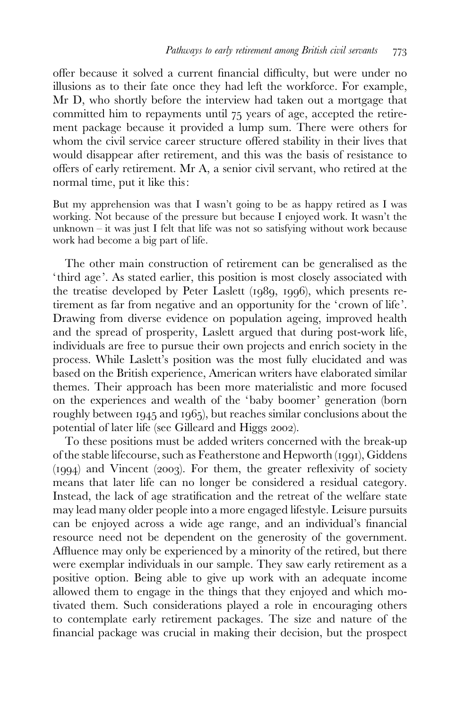offer because it solved a current financial difficulty, but were under no illusions as to their fate once they had left the workforce. For example, Mr D, who shortly before the interview had taken out a mortgage that committed him to repayments until 75 years of age, accepted the retirement package because it provided a lump sum. There were others for whom the civil service career structure offered stability in their lives that would disappear after retirement, and this was the basis of resistance to offers of early retirement. Mr A, a senior civil servant, who retired at the normal time, put it like this:

But my apprehension was that I wasn't going to be as happy retired as I was working. Not because of the pressure but because I enjoyed work. It wasn't the unknown – it was just I felt that life was not so satisfying without work because work had become a big part of life.

The other main construction of retirement can be generalised as the 'third age'. As stated earlier, this position is most closely associated with the treatise developed by Peter Laslett (1989, 1996), which presents retirement as far from negative and an opportunity for the 'crown of life'. Drawing from diverse evidence on population ageing, improved health and the spread of prosperity, Laslett argued that during post-work life, individuals are free to pursue their own projects and enrich society in the process. While Laslett's position was the most fully elucidated and was based on the British experience, American writers have elaborated similar themes. Their approach has been more materialistic and more focused on the experiences and wealth of the 'baby boomer' generation (born roughly between 1945 and 1965), but reaches similar conclusions about the potential of later life (see Gilleard and Higgs 2002).

To these positions must be added writers concerned with the break-up of the stable lifecourse, such as Featherstone and Hepworth (1991), Giddens (1994) and Vincent (2003). For them, the greater reflexivity of society means that later life can no longer be considered a residual category. Instead, the lack of age stratification and the retreat of the welfare state may lead many older people into a more engaged lifestyle. Leisure pursuits can be enjoyed across a wide age range, and an individual's financial resource need not be dependent on the generosity of the government. Affluence may only be experienced by a minority of the retired, but there were exemplar individuals in our sample. They saw early retirement as a positive option. Being able to give up work with an adequate income allowed them to engage in the things that they enjoyed and which motivated them. Such considerations played a role in encouraging others to contemplate early retirement packages. The size and nature of the financial package was crucial in making their decision, but the prospect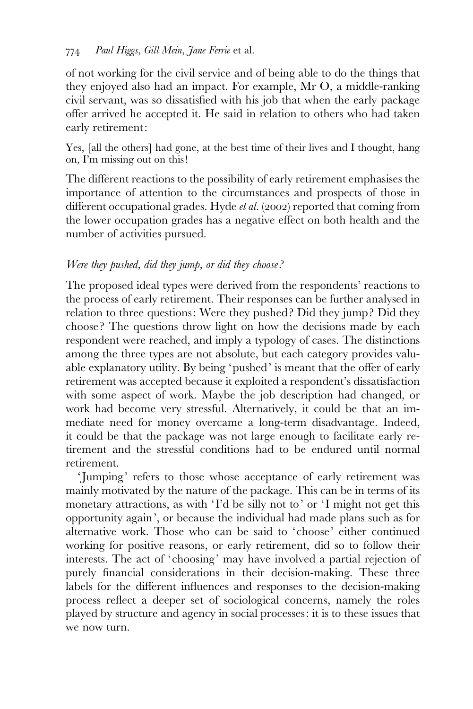# 774 Paul Higgs, Gill Mein, Jane Ferrie et al.

of not working for the civil service and of being able to do the things that they enjoyed also had an impact. For example, Mr O, a middle-ranking civil servant, was so dissatisfied with his job that when the early package offer arrived he accepted it. He said in relation to others who had taken early retirement:

Yes, [all the others] had gone, at the best time of their lives and I thought, hang on, I'm missing out on this!

The different reactions to the possibility of early retirement emphasises the importance of attention to the circumstances and prospects of those in different occupational grades. Hyde *et al.* (2002) reported that coming from the lower occupation grades has a negative effect on both health and the number of activities pursued.

# Were they pushed, did they jump, or did they choose?

The proposed ideal types were derived from the respondents' reactions to the process of early retirement. Their responses can be further analysed in relation to three questions: Were they pushed? Did they jump? Did they choose ? The questions throw light on how the decisions made by each respondent were reached, and imply a typology of cases. The distinctions among the three types are not absolute, but each category provides valuable explanatory utility. By being 'pushed' is meant that the offer of early retirement was accepted because it exploited a respondent's dissatisfaction with some aspect of work. Maybe the job description had changed, or work had become very stressful. Alternatively, it could be that an immediate need for money overcame a long-term disadvantage. Indeed, it could be that the package was not large enough to facilitate early retirement and the stressful conditions had to be endured until normal retirement.

' Jumping' refers to those whose acceptance of early retirement was mainly motivated by the nature of the package. This can be in terms of its monetary attractions, as with 'I'd be silly not to' or 'I might not get this opportunity again', or because the individual had made plans such as for alternative work. Those who can be said to 'choose' either continued working for positive reasons, or early retirement, did so to follow their interests. The act of 'choosing' may have involved a partial rejection of purely financial considerations in their decision-making. These three labels for the different influences and responses to the decision-making process reflect a deeper set of sociological concerns, namely the roles played by structure and agency in social processes: it is to these issues that we now turn.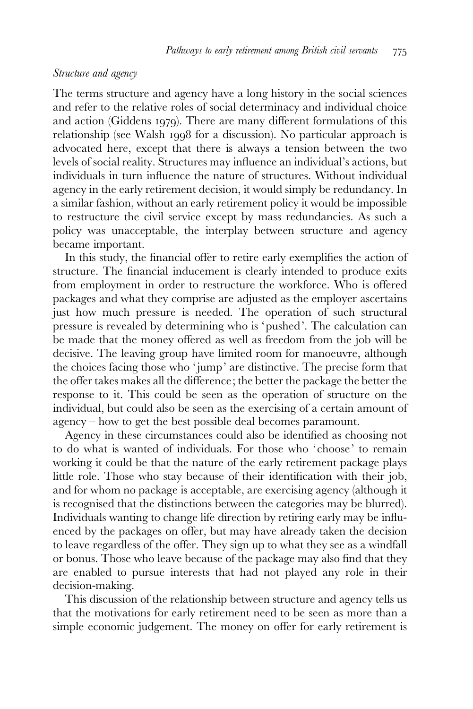### Structure and agency

The terms structure and agency have a long history in the social sciences and refer to the relative roles of social determinacy and individual choice and action (Giddens 1979). There are many different formulations of this relationship (see Walsh 1998 for a discussion). No particular approach is advocated here, except that there is always a tension between the two levels of social reality. Structures may influence an individual's actions, but individuals in turn influence the nature of structures. Without individual agency in the early retirement decision, it would simply be redundancy. In a similar fashion, without an early retirement policy it would be impossible to restructure the civil service except by mass redundancies. As such a policy was unacceptable, the interplay between structure and agency became important.

In this study, the financial offer to retire early exemplifies the action of structure. The financial inducement is clearly intended to produce exits from employment in order to restructure the workforce. Who is offered packages and what they comprise are adjusted as the employer ascertains just how much pressure is needed. The operation of such structural pressure is revealed by determining who is 'pushed'. The calculation can be made that the money offered as well as freedom from the job will be decisive. The leaving group have limited room for manoeuvre, although the choices facing those who 'jump' are distinctive. The precise form that the offer takes makes all the difference; the better the package the better the response to it. This could be seen as the operation of structure on the individual, but could also be seen as the exercising of a certain amount of agency – how to get the best possible deal becomes paramount.

Agency in these circumstances could also be identified as choosing not to do what is wanted of individuals. For those who 'choose' to remain working it could be that the nature of the early retirement package plays little role. Those who stay because of their identification with their job, and for whom no package is acceptable, are exercising agency (although it is recognised that the distinctions between the categories may be blurred). Individuals wanting to change life direction by retiring early may be influenced by the packages on offer, but may have already taken the decision to leave regardless of the offer. They sign up to what they see as a windfall or bonus. Those who leave because of the package may also find that they are enabled to pursue interests that had not played any role in their decision-making.

This discussion of the relationship between structure and agency tells us that the motivations for early retirement need to be seen as more than a simple economic judgement. The money on offer for early retirement is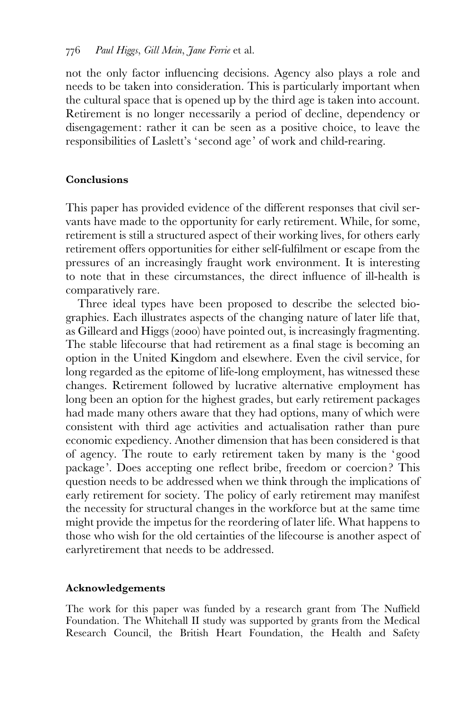not the only factor influencing decisions. Agency also plays a role and needs to be taken into consideration. This is particularly important when the cultural space that is opened up by the third age is taken into account. Retirement is no longer necessarily a period of decline, dependency or disengagement: rather it can be seen as a positive choice, to leave the responsibilities of Laslett's ' second age' of work and child-rearing.

### Conclusions

This paper has provided evidence of the different responses that civil servants have made to the opportunity for early retirement. While, for some, retirement is still a structured aspect of their working lives, for others early retirement offers opportunities for either self-fulfilment or escape from the pressures of an increasingly fraught work environment. It is interesting to note that in these circumstances, the direct influence of ill-health is comparatively rare.

Three ideal types have been proposed to describe the selected biographies. Each illustrates aspects of the changing nature of later life that, as Gilleard and Higgs (2000) have pointed out, is increasingly fragmenting. The stable lifecourse that had retirement as a final stage is becoming an option in the United Kingdom and elsewhere. Even the civil service, for long regarded as the epitome of life-long employment, has witnessed these changes. Retirement followed by lucrative alternative employment has long been an option for the highest grades, but early retirement packages had made many others aware that they had options, many of which were consistent with third age activities and actualisation rather than pure economic expediency. Another dimension that has been considered is that of agency. The route to early retirement taken by many is the 'good package'. Does accepting one reflect bribe, freedom or coercion? This question needs to be addressed when we think through the implications of early retirement for society. The policy of early retirement may manifest the necessity for structural changes in the workforce but at the same time might provide the impetus for the reordering of later life. What happens to those who wish for the old certainties of the lifecourse is another aspect of earlyretirement that needs to be addressed.

### Acknowledgements

The work for this paper was funded by a research grant from The Nuffield Foundation. The Whitehall II study was supported by grants from the Medical Research Council, the British Heart Foundation, the Health and Safety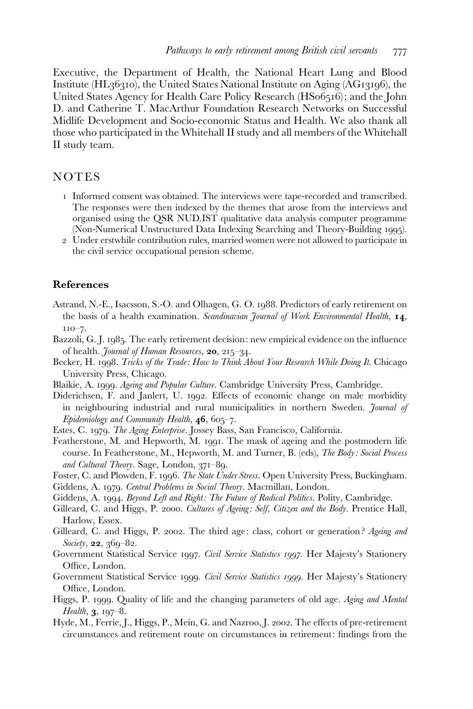Executive, the Department of Health, the National Heart Lung and Blood Institute (HL36310), the United States National Institute on Aging (AG13196), the United States Agency for Health Care Policy Research (HS06516); and the John D. and Catherine T. MacArthur Foundation Research Networks on Successful Midlife Development and Socio-economic Status and Health. We also thank all those who participated in the Whitehall II study and all members of the Whitehall II study team.

### **NOTES**

- 1 Informed consent was obtained. The interviews were tape-recorded and transcribed. The responses were then indexed by the themes that arose from the interviews and organised using the QSR NUD.IST qualitative data analysis computer programme (Non-Numerical Unstructured Data Indexing Searching and Theory-Building 1995).
- 2 Under erstwhile contribution rules, married women were not allowed to participate in the civil service occupational pension scheme.

#### References

- Astrand, N.-E., Isacsson, S.-O. and Olhagen, G. O. 1988. Predictors of early retirement on the basis of a health examination. Scandinavian Journal of Work Environmental Health, 14, 110–7.
- Bazzoli, G. J. 1985. The early retirement decision: new empirical evidence on the influence of health. Journal of Human Resources, 20, 215–34.
- Becker, H. 1998. Tricks of the Trade: How to Think About Your Research While Doing It. Chicago University Press, Chicago.
- Blaikie, A. 1999. Ageing and Popular Culture. Cambridge University Press, Cambridge.
- Diderichsen, F. and Janlert, U. 1992. Effects of economic change on male morbidity in neighbouring industrial and rural municipalities in northern Sweden. Journal of Epidemiology and Community Health,  $46, 605 - 7$ .
- Estes, C. 1979. The Aging Enterprise. Jossey Bass, San Francisco, California.
- Featherstone, M. and Hepworth, M. 1991. The mask of ageing and the postmodern life course. In Featherstone, M., Hepworth, M. and Turner, B. (eds), The Body: Social Process and Cultural Theory. Sage, London, 371–89.
- Foster, C. and Plowden, F. 1996. The State Under Stress. Open University Press, Buckingham. Giddens, A. 1979. Central Problems in Social Theory. Macmillan, London.
- Giddens, A. 1994. Beyond Left and Right: The Future of Radical Politics. Polity, Cambridge.
- Gilleard, C. and Higgs, P. 2000. Cultures of Ageing: Self, Citizen and the Body. Prentice Hall, Harlow, Essex.
- Gilleard, C. and Higgs, P. 2002. The third age: class, cohort or generation? Ageing and  $Society, 22, 369-82.$
- Government Statistical Service 1997. Civil Service Statistics 1997. Her Majesty's Stationery Office, London.
- Government Statistical Service 1999. Civil Service Statistics 1999. Her Majesty's Stationery Office, London.
- Higgs, P. 1999. Quality of life and the changing parameters of old age. Aging and Mental *Health*,  $3, 197-8$ .
- Hyde, M., Ferrie, J., Higgs, P., Mein, G. and Nazroo, J. 2002. The effects of pre-retirement circumstances and retirement route on circumstances in retirement: findings from the